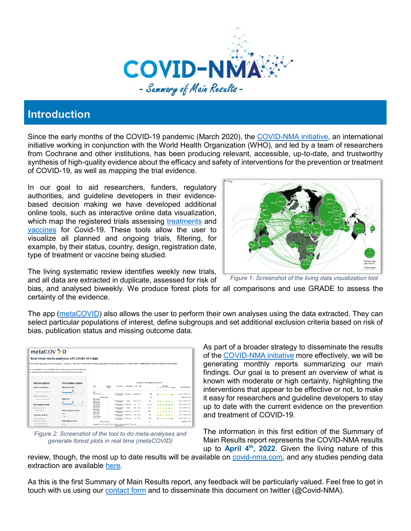

# **Introduction**

Since the early months of the COVID-19 pandemic (March 2020), the [COVID-NMA initiative,](https://covid-nma.com/) an international initiative working in conjunction with the World Health Organization (WHO), and led by a team of researchers from Cochrane and other institutions, has been producing relevant, accessible, up-to-date, and trustworthy synthesis of high-quality evidence about the efficacy and safety of interventions for the prevention or treatment of COVID-19, as well as mapping the trial evidence.

In our goal to aid researchers, funders, regulatory authorities, and guideline developers in their evidencebased decision making we have developed additional online tools, such as interactive online data visualization, which map the registered trials assessing [treatments](https://covid-nma.com/dataviz/) and [vaccines](https://covid-nma.com/vaccines/mapping/) for Covid-19. These tools allow the user to visualize all planned and ongoing trials, filtering, for example, by their status, country, design, registration date, type of treatment or vaccine being studied.



The living systematic review identifies weekly new trials,

and all data are extracted in duplicate, assessed for risk of bias, and analysed biweekly. We produce forest plots for all comparisons and use GRADE to assess the certainty of the evidence.

The app [\(metaCOVID\)](https://covid-nma.com/metacovid/) also allows the user to perform their own analyses using the data extracted. They can select particular populations of interest, define subgroups and set additional exclusion criteria based on risk of bias, publication status and missing outcome data.

| metaCOV <sup>+</sup> D    |                                                                                                                                                                                                         |                                                                     |                          |                                                                                                     |                       |                            |               |  |   |                           |               |                          |
|---------------------------|---------------------------------------------------------------------------------------------------------------------------------------------------------------------------------------------------------|---------------------------------------------------------------------|--------------------------|-----------------------------------------------------------------------------------------------------|-----------------------|----------------------------|---------------|--|---|---------------------------|---------------|--------------------------|
|                           | Real-time meta-analyses of COVID-19 trials                                                                                                                                                              |                                                                     |                          |                                                                                                     |                       |                            |               |  |   |                           |               |                          |
|                           | If you use the app please cite us: Evrenoziou, T. Boutron, L. Chaimani, A. metaCOVID: An R-Shinw application for living meta-analyses of COVID-19 trials, medRdy (2021) doi:10.1101/2021/09/0721263207. |                                                                     |                          |                                                                                                     |                       |                            |               |  |   |                           |               |                          |
|                           | For commerts/apertes on the metaCOVO application please contact us at teamers/corte-mail.com<br>For any other question on the project please contact us here https://conforma.com/contact/              |                                                                     |                          |                                                                                                     |                       |                            |               |  |   |                           |               |                          |
| Analysis options          | Incidence of viral negative conversion D7<br><b>Presentation options</b>                                                                                                                                |                                                                     |                          |                                                                                                     |                       |                            |               |  |   |                           |               |                          |
| Select a comparison       | Allgn Risk of blas                                                                                                                                                                                      | Staty                                                               | Fallon so<br><b>Ann</b>  | Intervention 1                                                                                      | <b>Internettion 2</b> | <b>With With</b>           |               |  | × | Olivia of Glass<br>$\sim$ | <b>Daniel</b> | Rek Ratio (\$55.01)      |
| Holmandionogias vi St. >  | $-1 - 0.0 - 0.0$ $-0.0$ $-0.0$ $-0.0$ $-0.0$ $-0.0$                                                                                                                                                     | <b>VIN</b><br>Kamas 5M, 2021                                        |                          | Hylkouthinnadre Standard cars 192063 54156                                                          |                       |                            |               |  |   |                           |               | 11.63%, T.6011.32.2.15E  |
| Salart an outcome         |                                                                                                                                                                                                         |                                                                     | Mid population           |                                                                                                     |                       |                            |               |  |   |                           |               | 1,0311.32.2.101          |
| Negative convenient D7    | Allen Dose<br><b>SIL</b><br>sa.<br>٠                                                                                                                                                                    | Whiteaders<br>Duban X 2021<br>Whitwadende                           | ٠                        | Hylmushiavagra<br>40 mpon                                                                           | <b>Bush</b>           | 28/923 27/100              | m.            |  |   |                           | . .           | 13.50% T.0130-E4.1-SEL   |
| Meta-analytical model     | $\overline{\phantom{a}}$<br>and on the way only the real<br>$-100 - 100$                                                                                                                                | Own DR 2020<br><b>VEN So source</b>                                 | $\overline{\phantom{a}}$ | Hydrogethropics                                                                                     | <b>Standard care</b>  | <b>CE-</b><br>$B \times D$ | $-1$          |  |   |                           |               | 3.415 0.00 0.27 0.303    |
| <b>St. Randomarillone</b> |                                                                                                                                                                                                         | 1946 BL 000                                                         | ٠                        | Hydrogenizzaglia                                                                                    |                       | 6.02<br>1000               | <b>Arrago</b> |  |   |                           | . .           | 7:325 0.65 30.09, 1.440  |
| O Final efforts           | Hide population severity                                                                                                                                                                                | <b>With the services</b><br>Texas W. 2020<br><b>With buy-though</b> | $\alpha$                 | Hydroughbrought Standard cars                                                                       |                       | 3015 4675                  | ×.            |  |   |                           |               | 14.42% 0.75 (0.03.1.00)  |
| Proulation severity       | OR No.<br>$C$ Y <sub>m</sub>                                                                                                                                                                            | Any F. 2821<br>Undear search                                        | ٠                        | Hydrogationsaure Standard care                                                                      |                       | SACK GRAD                  |               |  |   |                           | . .           | 00 87% 1.05 85.85, 1.26E |
| O All consistions         |                                                                                                                                                                                                         | Chev 1, 2023                                                        |                          | Hydrogenbrooms Standard care                                                                        |                       | 1018 1418                  |               |  |   |                           |               | 11 KW, 0.90 30.73, 1.161 |
| 80 Mild poradations       | Hide treatment dose                                                                                                                                                                                     |                                                                     | Mised population         |                                                                                                     |                       |                            |               |  |   |                           |               | 0.93 (0.82, 1.07)        |
| O Mised populations.      | dk No                                                                                                                                                                                                   |                                                                     |                          | Hercognetic Q - 2021, p - 500 F - 70.4%; V - 107); Set for adjoining differences Q - 16.21 p - 0.80 |                       |                            |               |  |   |                           |               |                          |



As part of a broader strategy to disseminate the results of the [COVID-NMA initiative](https://covid-nma.com/) more effectively, we will be generating monthly reports summarizing our main findings. Our goal is to present an overview of what is known with moderate or high certainty, highlighting the interventions that appear to be effective or not, to make it easy for researchers and guideline developers to stay up to date with the current evidence on the prevention and treatment of COVID-19.

The information in this first edition of the Summary of Main Results report represents the COVID-NMA results up to **April 4th, 2022**. Given the living nature of this

review, though, the most up to date results will be available on [covid-nma.com,](https://covid-nma.com/) and any studies pending data extraction are available [here.](https://covid-nma.com/news/)

As this is the first Summary of Main Results report, any feedback will be particularly valued. Feel free to get in touch with us using our [contact](https://covid-nma.com/contact/) form and to disseminate this document on twitter (@Covid-NMA).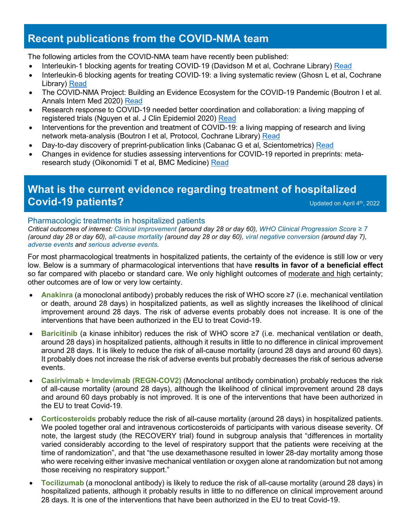# **Recent publications from the COVID-NMA team**

The following articles from the COVID-NMA team have recently been published:

- Interleukin-1 blocking agents for treating COVID-19 (Davidson M et al, Cochrane Library) [Read](https://www.cochranelibrary.com/cdsr/doi/10.1002/14651858.CD015308/full)
- Interleukin-6 blocking agents for treating COVID-19: a living systematic review (Ghosn L et al, Cochrane Library) [Read](https://www.cochranelibrary.com/cdsr/doi/10.1002/14651858.CD013881/full)
- The COVID-NMA Project: Building an Evidence Ecosystem for the COVID-19 Pandemic (Boutron I et al. Annals Intern Med 2020) [Read](https://www.ncbi.nlm.nih.gov/pmc/articles/PMC7518109/)
- Research response to COVID-19 needed better coordination and collaboration: a living mapping of registered trials (Nguyen et al. J Clin Epidemiol 2020) [Read](https://www.ncbi.nlm.nih.gov/pmc/articles/PMC7575422/)
- Interventions for the prevention and treatment of COVID-19: a living mapping of research and living network meta-analysis (Boutron I et al, Protocol, Cochrane Library) [Read](https://www.cochranelibrary.com/cdsr/doi/10.1002/14651858.CD013769/full)
- Day-to-day discovery of preprint-publication links (Cabanac G et al, Scientometrics) [Read](https://pubmed.ncbi.nlm.nih.gov/33897069/)
- Changes in evidence for studies assessing interventions for COVID-19 reported in preprints: meta-research study (Oikonomidi T et al, BMC Medicine) [Read](https://bmcmedicine.biomedcentral.com/articles/10.1186/s12916-020-01880-8)

# **What is the current evidence regarding treatment of hospitalized Covid-19 patients?** Covid-19 patients?

## Pharmacologic treatments in hospitalized patients

*Critical outcomes of interest: Clinical improvement (around day 28 or day 60), WHO Clinical Progression Score ≥ 7 (around day 28 or day 60), all-cause mortality (around day 28 or day 60), viral negative conversion (around day 7), adverse events and serious adverse events.* 

For most pharmacological treatments in hospitalized patients, the certainty of the evidence is still low or very low. Below is a summary of pharmacological interventions that have **results in favor of a beneficial effect** so far compared with placebo or standard care. We only highlight outcomes of moderate and high certainty; other outcomes are of low or very low certainty.

- **Anakinra** (a monoclonal antibody) probably reduces the risk of WHO score ≥7 (i.e. mechanical ventilation or death, around 28 days) in hospitalized patients, as well as slightly increases the likelihood of clinical improvement around 28 days. The risk of adverse events probably does not increase. It is one of the interventions that have been authorized in the EU to treat Covid-19.
- **Baricitinib** (a kinase inhibitor) reduces the risk of WHO score ≥7 (i.e. mechanical ventilation or death, around 28 days) in hospitalized patients, although it results in little to no difference in clinical improvement around 28 days. It is likely to reduce the risk of all-cause mortality (around 28 days and around 60 days). It probably does not increase the risk of adverse events but probably decreases the risk of serious adverse events.
- **Casirivimab + Imdevimab (REGN-COV2)** (Monoclonal antibody combination) probably reduces the risk of all-cause mortality (around 28 days), although the likelihood of clinical improvement around 28 days and around 60 days probably is not improved. It is one of the interventions that have been authorized in the EU to treat Covid-19.
- **Corticosteroids** probably reduce the risk of all-cause mortality (around 28 days) in hospitalized patients. We pooled together oral and intravenous corticosteroids of participants with various disease severity. Of note, the largest study (the RECOVERY trial) found in subgroup analysis that "differences in mortality varied considerably according to the level of respiratory support that the patients were receiving at the time of randomization", and that "the use dexamethasone resulted in lower 28-day mortality among those who were receiving either invasive mechanical ventilation or oxygen alone at randomization but not among those receiving no respiratory support."
- **Tocilizumab** (a monoclonal antibody) is likely to reduce the risk of all-cause mortality (around 28 days) in hospitalized patients, although it probably results in little to no difference on clinical improvement around 28 days. It is one of the interventions that have been authorized in the EU to treat Covid-19.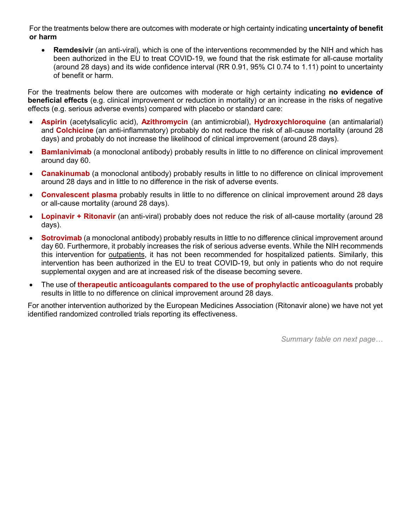For the treatments below there are outcomes with moderate or high certainty indicating **uncertainty of benefit or harm**

• **Remdesivir** (an anti-viral), which is one of the interventions recommended by the NIH and which has been authorized in the EU to treat COVID-19, we found that the risk estimate for all-cause mortality (around 28 days) and its wide confidence interval (RR 0.91, 95% CI 0.74 to 1.11) point to uncertainty of benefit or harm.

For the treatments below there are outcomes with moderate or high certainty indicating **no evidence of beneficial effects** (e.g. clinical improvement or reduction in mortality) or an increase in the risks of negative effects (e.g. serious adverse events) compared with placebo or standard care:

- **Aspirin** (acetylsalicylic acid), **Azithromycin** (an antimicrobial), **Hydroxychloroquine** (an antimalarial) and **Colchicine** (an anti-inflammatory) probably do not reduce the risk of all-cause mortality (around 28 days) and probably do not increase the likelihood of clinical improvement (around 28 days).
- **Bamlanivimab** (a monoclonal antibody) probably results in little to no difference on clinical improvement around day 60.
- **Canakinumab** (a monoclonal antibody) probably results in little to no difference on clinical improvement around 28 days and in little to no difference in the risk of adverse events.
- **Convalescent plasma** probably results in little to no difference on clinical improvement around 28 days or all-cause mortality (around 28 days).
- **Lopinavir + Ritonavir** (an anti-viral) probably does not reduce the risk of all-cause mortality (around 28 days).
- **Sotrovimab** (a monoclonal antibody) probably results in little to no difference clinical improvement around day 60. Furthermore, it probably increases the risk of serious adverse events. While the NIH recommends this intervention for outpatients, it has not been recommended for hospitalized patients. Similarly, this intervention has been authorized in the EU to treat COVID-19, but only in patients who do not require supplemental oxygen and are at increased risk of the disease becoming severe.
- The use of **therapeutic anticoagulants compared to the use of prophylactic anticoagulants** probably results in little to no difference on clinical improvement around 28 days.

For another intervention authorized by the European Medicines Association (Ritonavir alone) we have not yet identified randomized controlled trials reporting its effectiveness.

*Summary table on next page…*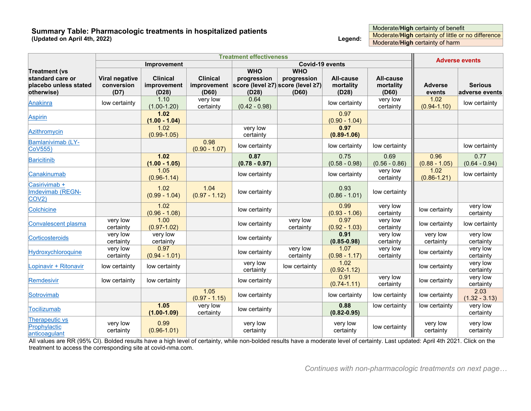#### **Summary Table: Pharmacologic treatments in hospitalized patients (Updated on April 4th, 2022) Legend:**

Moderate/**High** certainty of benefit Moderate/**High** certainty of little or no difference Moderate/**High** certainty of harm

|                                                         | <b>Treatment effectiveness</b> |                         |                         |                         |                                                   |                         |                         |                         | <b>Adverse events</b>   |  |  |
|---------------------------------------------------------|--------------------------------|-------------------------|-------------------------|-------------------------|---------------------------------------------------|-------------------------|-------------------------|-------------------------|-------------------------|--|--|
|                                                         | Covid-19 events<br>Improvement |                         |                         |                         |                                                   |                         |                         |                         |                         |  |  |
| <b>Treatment (vs</b>                                    |                                |                         |                         | <b>WHO</b>              | <b>WHO</b>                                        |                         |                         |                         |                         |  |  |
| standard care or                                        | Viral negative                 | <b>Clinical</b>         | <b>Clinical</b>         | progression             | progression                                       | <b>All-cause</b>        | <b>All-cause</b>        |                         |                         |  |  |
| placebo unless stated                                   | conversion                     | improvement             |                         |                         | improvement $ score (level 27) score (level 27) $ | mortality               | mortality               | <b>Adverse</b>          | <b>Serious</b>          |  |  |
| otherwise)                                              | (D7)                           | (D28)                   | (D60)                   | (D28)                   | (D60)                                             | (D28)                   | (D60)                   | events                  | adverse events          |  |  |
| Anakinra                                                | low certainty                  | 1.10<br>$(1.00 - 1.20)$ | very low<br>certainty   | 0.64<br>$(0.42 - 0.98)$ |                                                   | low certainty           | very low<br>certainty   | 1.02<br>$(0.94 - 1.10)$ | low certainty           |  |  |
| <b>Aspirin</b>                                          |                                | 1.02<br>$(1.00 - 1.04)$ |                         |                         |                                                   | 0.97<br>$(0.90 - 1.04)$ |                         |                         |                         |  |  |
| Azithromycin                                            |                                | 1.02<br>$(0.99 - 1.05)$ |                         | very low<br>certainty   |                                                   | 0.97<br>$(0.89 - 1.06)$ |                         |                         |                         |  |  |
| Bamlanivimab (LY-<br>COV555                             |                                |                         | 0.98<br>$(0.90 - 1.07)$ | low certainty           |                                                   | low certainty           | low certainty           |                         | low certainty           |  |  |
| Baricitinib                                             |                                | 1.02<br>$(1.00 - 1.05)$ |                         | 0.87<br>$(0.78 - 0.97)$ |                                                   | 0.75<br>$(0.58 - 0.98)$ | 0.69<br>$(0.56 - 0.86)$ | 0.96<br>$(0.88 - 1.05)$ | 0.77<br>$(0.64 - 0.94)$ |  |  |
| Canakinumab                                             |                                | 1.05<br>$(0.96 - 1.14)$ |                         | low certainty           |                                                   | low certainty           | very low<br>certainty   | 1.02<br>$(0.86 - 1.21)$ | low certainty           |  |  |
| Casirivimab +<br>Imdevimab (REGN-<br>COV <sub>2</sub> ) |                                | 1.02<br>$(0.99 - 1.04)$ | 1.04<br>$(0.97 - 1.12)$ | low certainty           |                                                   | 0.93<br>$(0.86 - 1.01)$ | low certainty           |                         |                         |  |  |
| Colchicine                                              |                                | 1.02<br>$(0.96 - 1.08)$ |                         | low certainty           |                                                   | 0.99<br>$(0.93 - 1.06)$ | very low<br>certainty   | low certainty           | very low<br>certainty   |  |  |
| Convalescent plasma                                     | very low<br>certainty          | 1.00<br>$(0.97 - 1.02)$ |                         | low certainty           | very low<br>certainty                             | 0.97<br>$(0.92 - 1.03)$ | very low<br>certainty   | low certainty           | low certainty           |  |  |
| <b>Corticosteroids</b>                                  | very low<br>certainty          | very low<br>certainty   |                         | low certainty           |                                                   | 0.91<br>$(0.85 - 0.98)$ | very low<br>certainty   | very low<br>certainty   | very low<br>certainty   |  |  |
| Hydroxychloroquine                                      | very low<br>certainty          | 0.97<br>$(0.94 - 1.01)$ |                         | low certainty           | very low<br>certainty                             | 1.07<br>$(0.98 - 1.17)$ | very low<br>certainty   | low certainty           | very low<br>certainty   |  |  |
| Lopinavir + Ritonavir                                   | low certainty                  | low certainty           |                         | very low<br>certainty   | low certainty                                     | 1.02<br>$(0.92 - 1.12)$ |                         | low certainty           | very low<br>certainty   |  |  |
| Remdesivir                                              | low certainty                  | low certainty           |                         | low certainty           |                                                   | 0.91<br>$(0.74 - 1.11)$ | very low<br>certainty   | low certainty           | very low<br>certainty   |  |  |
| Sotrovimab                                              |                                |                         | 1.05<br>$(0.97 - 1.15)$ | low certainty           |                                                   | low certainty           | low certainty           | low certainty           | 2.03<br>$(1.32 - 3.13)$ |  |  |
| Tocilizumab                                             |                                | 1.05<br>$(1.00 - 1.09)$ | very low<br>certainty   | low certainty           |                                                   | 0.88<br>$(0.82 - 0.95)$ | low certainty           | low certainty           | very low<br>certainty   |  |  |
| <b>Therapeutic vs</b><br>Prophylactic<br>anticoagulant  | very low<br>certainty          | 0.99<br>$(0.96 - 1.01)$ |                         | very low<br>certainty   |                                                   | very low<br>certainty   | low certainty           | very low<br>certainty   | very low<br>certainty   |  |  |

All values are RR (95% CI). Bolded results have a high level of certainty, while non-bolded results have a moderate level of certainty. Last updated: April 4th 2021. Click on the treatment to access the corresponding site at covid-nma.com.

*Continues with non-pharmacologic treatments on next page…*